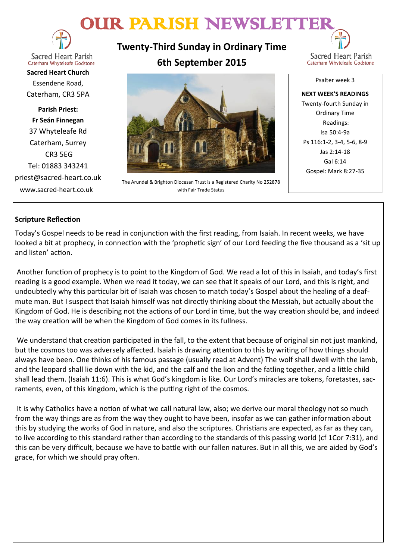# OUR PARISH NEWSLETTER



Sacred Heart Parish Caterham Whyteleafe Godstone

**Sacred Heart Church** Essendene Road, Caterham, CR3 5PA

**Parish Priest: Fr Seán Finnegan** 37 Whyteleafe Rd Caterham, Surrey CR3 5EG Tel: 01883 343241 priest@sacred-heart.co.uk www.sacred-heart.co.uk

**Twenty-Third Sunday in Ordinary Time 6th September 2015**



The Arundel & Brighton Diocesan Trust is a Registered Charity No 252878 with Fair Trade Status

Psalter week 3

**NEXT WEEK'S READINGS** Twenty-fourth Sunday in Ordinary Time Readings: Isa 50:4-9a Ps 116:1-2, 3-4, 5-6, 8-9 Jas 2:14-18 Gal 6:14 Gospel: Mark 8:27-35

# **Scripture Reflection**

Today's Gospel needs to be read in conjunction with the first reading, from Isaiah. In recent weeks, we have looked a bit at prophecy, in connection with the 'prophetic sign' of our Lord feeding the five thousand as a 'sit up and listen' action.

Another function of prophecy is to point to the Kingdom of God. We read a lot of this in Isaiah, and today's first reading is a good example. When we read it today, we can see that it speaks of our Lord, and this is right, and undoubtedly why this particular bit of Isaiah was chosen to match today's Gospel about the healing of a deafmute man. But I suspect that Isaiah himself was not directly thinking about the Messiah, but actually about the Kingdom of God. He is describing not the actions of our Lord in time, but the way creation should be, and indeed the way creation will be when the Kingdom of God comes in its fullness.

We understand that creation participated in the fall, to the extent that because of original sin not just mankind, but the cosmos too was adversely affected. Isaiah is drawing attention to this by writing of how things should always have been. One thinks of his famous passage (usually read at Advent) The wolf shall dwell with the lamb, and the leopard shall lie down with the kid, and the calf and the lion and the fatling together, and a little child shall lead them. (Isaiah 11:6). This is what God's kingdom is like. Our Lord's miracles are tokens, foretastes, sacraments, even, of this kingdom, which is the putting right of the cosmos.

It is why Catholics have a notion of what we call natural law, also; we derive our moral theology not so much from the way things are as from the way they ought to have been, insofar as we can gather information about this by studying the works of God in nature, and also the scriptures. Christians are expected, as far as they can, to live according to this standard rather than according to the standards of this passing world (cf 1Cor 7:31), and this can be very difficult, because we have to battle with our fallen natures. But in all this, we are aided by God's grace, for which we should pray often.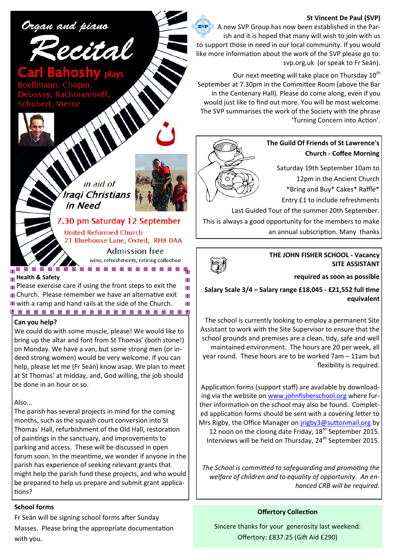#### **St Vincent De Paul (SVP)**



Our next meeting will take place on Thursday 10<sup>th</sup> September at 7.30pm in the Committee Room (above the Bar in the Centenary Hall). Please do come along, even if you would just like to find out more. You will be most welcome. The SVP summarises the work of the Society with the phrase 'Turning Concern into Action'.



# **The Guild Of Friends of St Lawrence's Church - Coffee Morning**

Saturday 19th September 10am to 12pm in the Ancient Church

\*Bring and Buy\* Cakes\* Raffle\*

Entry £1 to include refreshments

Last Guided Tour of the summer 20th September.

This is always a good opportunity for the members to make an annual subscription. Many thanks



Ш

**THE JOHN FISHER SCHOOL - Vacancy SITE ASSISTANT**

**required as soon as possible**

**Salary Scale 3/4 – Salary range £18,045 - £21,552 full time equivalent**

The school is currently looking to employ a permanent Site Assistant to work with the Site Supervisor to ensure that the school grounds and premises are a clean, tidy, safe and well maintained environment. The hours are 20 per week, all year round. These hours are to be worked 7am – 11am but flexibility is required.

Application forms (support staff) are available by downloading via the website on [www.johnfisherschool.org](http://www.johnfisherschool.org) where further information on the school may also be found. Completed application forms should be sent with a covering letter to Mrs Rigby, the Office Manager on [jrigby3@suttonmail.org](mailto:jrigby3@suttonmail.org) by 12 noon on the closing date Friday,  $18<sup>th</sup>$  September 2015. Interviews will be held on Thursday,  $24<sup>th</sup>$  September 2015.

*The School is committed to safeguarding and promoting the welfare of children and to equality of opportunity. An enhanced CRB will be required.*

## **Offertory Collection**

Sincere thanks for your generosity last weekend: Offertory: £837.25 (Gift Aid £290)



Organ and piano

7.30 pm Saturday 12 September **United Reformed Church** 21 Bluehouse Lane, Oxted, RH8 0AA **Admission free** 

wine, refreshments, retiring collection Te Félite en en en en en en

m≣ **Health & Safety** 

**III** Please exercise care if using the front steps to exit the Ш **III** Church. Please remember we have an alternative exit Ш III with a ramp and hand rails at the side of the Church. Ш 

#### **Can you help?**

We could do with some muscle, please! We would like to bring up the altar and font from St Thomas' (both stone!) on Monday. We have a van, but some strong men (or indeed strong women) would be very welcome. If you can help, please let me (Fr Seán) know asap. We plan to meet at St Thomas' at midday, and, God willing, the job should be done in an hour or so.

Also...

The parish has several projects in mind for the coming months, such as the squash court conversion into St Thomas' Hall, refurbishment of the Old Hall, restoration of paintings in the sanctuary, and improvements to parking and access. These will be discussed in open forum soon. In the meantime, we wonder if anyone in the parish has experience of seeking relevant grants that might help the parish fund these projects, and who would be prepared to help us prepare and submit grant applications?

## **School forms**

Fr Seán will be signing school forms after Sunday Masses. Please bring the appropriate documentation with you.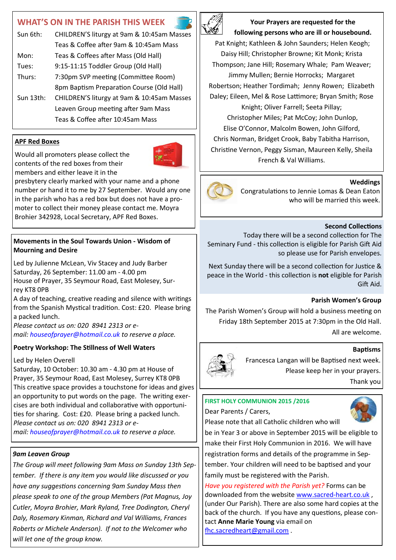# **WHAT'S ON IN THE PARISH THIS WEEK**

| Sun 6th:     | CHILDREN'S liturgy at 9am & 10:45am Masses |
|--------------|--------------------------------------------|
|              | Teas & Coffee after 9am & 10:45am Mass     |
| Mon:         | Teas & Coffees after Mass (Old Hall)       |
| Tues:        | 9:15-11:15 Toddler Group (Old Hall)        |
| Thurs:       | 7:30pm SVP meeting (Committee Room)        |
|              | 8pm Baptism Preparation Course (Old Hall)  |
| Sun $13$ th: | CHILDREN'S liturgy at 9am & 10:45am Masses |
|              | Leaven Group meeting after 9am Mass        |
|              | Teas & Coffee after 10:45am Mass           |
|              |                                            |

## **APF Red Boxes**

Would all promoters please collect the contents of the red boxes from their members and either leave it in the



presbytery clearly marked with your name and a phone number or hand it to me by 27 September. Would any one in the parish who has a red box but does not have a promoter to collect their money please contact me. Moyra Brohier 342928, Local Secretary, APF Red Boxes.

# **Movements in the Soul Towards Union - Wisdom of Mourning and Desire**

Led by Julienne McLean, Viv Stacey and Judy Barber Saturday, 26 September: 11.00 am - 4.00 pm House of Prayer, 35 Seymour Road, East Molesey, Surrey KT8 0PB

A day of teaching, creative reading and silence with writings from the Spanish Mystical tradition. Cost: £20. Please bring a packed lunch.

*Please contact us on: 020 8941 2313 or email: [houseofprayer@hotmail.co.uk](mailto:houseofprayer@hotmail.co.uk) to reserve a place.*

# **Poetry Workshop: The Stillness of Well Waters**

## Led by Helen Overell

Saturday, 10 October: 10.30 am - 4.30 pm at House of Prayer, 35 Seymour Road, East Molesey, Surrey KT8 0PB This creative space provides a touchstone for ideas and gives an opportunity to put words on the page. The writing exercises are both individual and collaborative with opportunities for sharing. Cost: £20. Please bring a packed lunch. *Please contact us on: 020 8941 2313 or email: [houseofprayer@hotmail.co.uk](mailto:houseofprayer@hotmail.co.uk) to reserve a place.*

# *9am Leaven Group*

*The Group will meet following 9am Mass on Sunday 13th September. If there is any item you would like discussed or you have any suggestions concerning 9am Sunday Mass then please speak to one of the group Members (Pat Magnus, Joy Cutler, Moyra Brohier, Mark Ryland, Tree Dodington, Cheryl Daly, Rosemary Kinman, Richard and Val Williams, Frances Roberts or Michele Anderson). If not to the Welcomer who will let one of the group know.*



**Your Prayers are requested for the following persons who are ill or housebound.** 

Pat Knight; Kathleen & John Saunders; Helen Keogh; Daisy Hill; Christopher Browne; Kit Monk; Krista Thompson; Jane Hill; Rosemary Whale; Pam Weaver; Jimmy Mullen; Bernie Horrocks; Margaret Robertson; Heather Tordimah; Jenny Rowen; Elizabeth Daley; Eileen, Mel & Rose Lattimore; Bryan Smith; Rose Knight; Oliver Farrell; Seeta Pillay; Christopher Miles; Pat McCoy; John Dunlop, Elise O'Connor, Malcolm Bowen, John Gilford, Chris Norman, Bridget Crook, Baby Tabitha Harrison, Christine Vernon, Peggy Sisman, Maureen Kelly, Sheila French & Val Williams.

#### **Weddings**

Congratulations to Jennie Lomas & Dean Eaton who will be married this week.

#### **Second Collections**

Today there will be a second collection for The Seminary Fund - this collection is eligible for Parish Gift Aid so please use for Parish envelopes.

Next Sunday there will be a second collection for Justice & peace in the World - this collection is **not** eligible for Parish Gift Aid.

#### **Parish Women's Group**

The Parish Women's Group will hold a business meeting on Friday 18th September 2015 at 7:30pm in the Old Hall. All are welcome.

# **Baptisms**



Francesca Langan will be Baptised next week. Please keep her in your prayers. Thank you

#### **FIRST HOLY COMMUNION 2015 /2016**

Dear Parents / Carers,



Please note that all Catholic children who will be in Year 3 or above in September 2015 will be eligible to

make their First Holy Communion in 2016. We will have registration forms and details of the programme in September. Your children will need to be baptised and your family must be registered with the Parish.

*Have you registered with the Parish yet?* Forms can be downloaded from the website [www.sacred](http://www.sacred-heart.co.uk)-heart.co.uk , (under Our Parish). There are also some hard copies at the back of the church. If you have any questions, please contact **Anne Marie Young** via email on [fhc.sacredheart@gmail.com](mailto:fhc.sacredheart@gmail.com) .